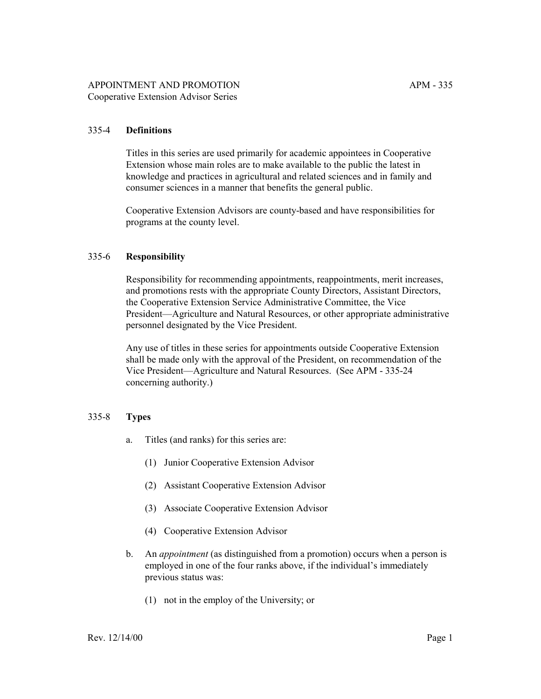## 335-4 **Definitions**

Titles in this series are used primarily for academic appointees in Cooperative Extension whose main roles are to make available to the public the latest in knowledge and practices in agricultural and related sciences and in family and consumer sciences in a manner that benefits the general public.

Cooperative Extension Advisors are county-based and have responsibilities for programs at the county level.

#### 335-6 **Responsibility**

Responsibility for recommending appointments, reappointments, merit increases, and promotions rests with the appropriate County Directors, Assistant Directors, the Cooperative Extension Service Administrative Committee, the Vice President—Agriculture and Natural Resources, or other appropriate administrative personnel designated by the Vice President.

Any use of titles in these series for appointments outside Cooperative Extension shall be made only with the approval of the President, on recommendation of the Vice President—Agriculture and Natural Resources. (See APM - 335-24) concerning authority.)

#### 335-8 **Types**

- a. Titles (and ranks) for this series are:
	- (1) Junior Cooperative Extension Advisor
	- (2) Assistant Cooperative Extension Advisor
	- (3) Associate Cooperative Extension Advisor
	- (4) Cooperative Extension Advisor
- b. An *appointment* (as distinguished from a promotion) occurs when a person is employed in one of the four ranks above, if the individual's immediately previous status was:
	- (1) not in the employ of the University; or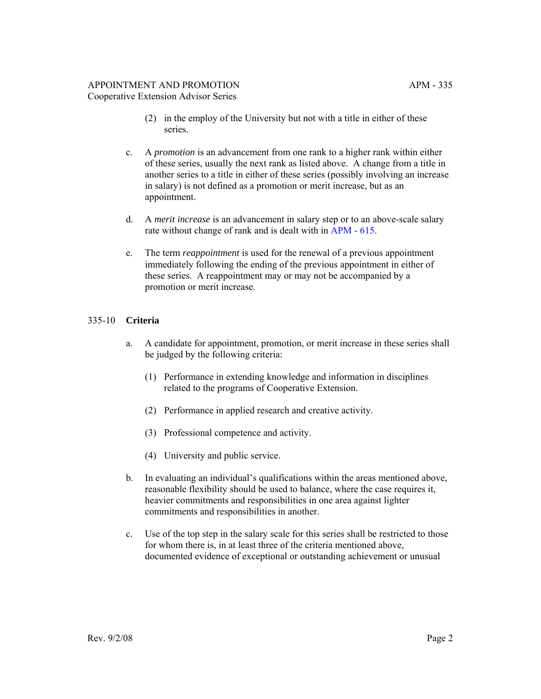- (2) in the employ of the University but not with a title in either of these series.
- c. A *promotion* is an advancement from one rank to a higher rank within either of these series, usually the next rank as listed above. A change from a title in another series to a title in either of these series (possibly involving an increase in salary) is not defined as a promotion or merit increase, but as an appointment.
- d. A *merit increase* is an advancement in salary step or to an above-scale salary rate without change of rank and is dealt with in [APM - 615.](http://ucop.edu/academic-personnel-programs/_files/apm/apm-615.pdf)
- e. The term *reappointment* is used for the renewal of a previous appointment immediately following the ending of the previous appointment in either of these series. A reappointment may or may not be accompanied by a promotion or merit increase.

## 335-10 **Criteria**

- a. A candidate for appointment, promotion, or merit increase in these series shall be judged by the following criteria:
	- (1) Performance in extending knowledge and information in disciplines related to the programs of Cooperative Extension.
	- (2) Performance in applied research and creative activity.
	- (3) Professional competence and activity.
	- (4) University and public service.
- b. In evaluating an individual's qualifications within the areas mentioned above, reasonable flexibility should be used to balance, where the case requires it, heavier commitments and responsibilities in one area against lighter commitments and responsibilities in another.
- c. Use of the top step in the salary scale for this series shall be restricted to those for whom there is, in at least three of the criteria mentioned above, documented evidence of exceptional or outstanding achievement or unusual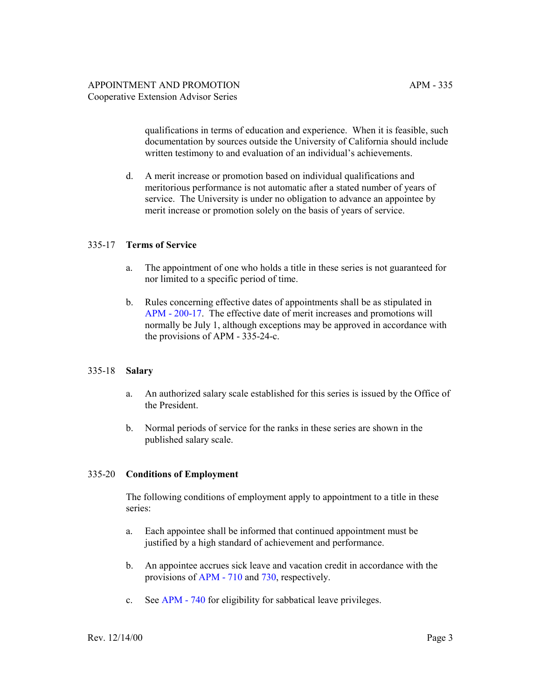qualifications in terms of education and experience. When it is feasible, such documentation by sources outside the University of California should include written testimony to and evaluation of an individual's achievements.

d. A merit increase or promotion based on individual qualifications and meritorious performance is not automatic after a stated number of years of service. The University is under no obligation to advance an appointee by merit increase or promotion solely on the basis of years of service.

## 335-17 **Terms of Service**

- a. The appointment of one who holds a title in these series is not guaranteed for nor limited to a specific period of time.
- b. Rules concerning effective dates of appointments shall be as stipulated in [APM - 200-17.](http://ucop.edu/academic-personnel-programs/_files/apm/apm-200.pdf) The effective date of merit increases and promotions will normally be July 1, although exceptions may be approved in accordance with the provisions of APM - 335-24-c.

#### 335-18 **Salary**

- a. An authorized salary scale established for this series is issued by the Office of the President.
- b. Normal periods of service for the ranks in these series are shown in the published salary scale.

### 335-20 **Conditions of Employment**

The following conditions of employment apply to appointment to a title in these series:

- a. Each appointee shall be informed that continued appointment must be justified by a high standard of achievement and performance.
- b. An appointee accrues sick leave and vacation credit in accordance with the provisions of [APM - 710](http://ucop.edu/academic-personnel-programs/_files/apm/apm-710.pdf) and [730,](http://ucop.edu/academic-personnel-programs/_files/apm/apm-730.pdf) respectively.
- c. See [APM 740](http://ucop.edu/academic-personnel-programs/_files/apm/apm-740.pdf) for eligibility for sabbatical leave privileges.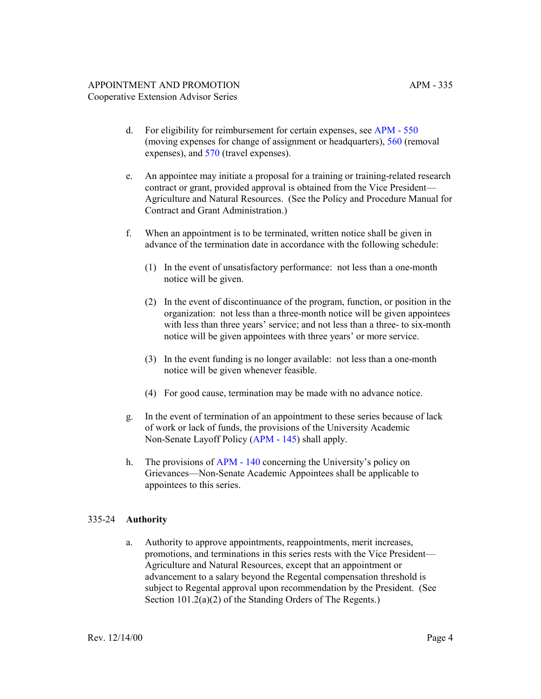- d. For eligibility for reimbursement for certain expenses, see [APM 550](http://ucop.edu/academic-personnel-programs/_files/apm/apm-550.pdf) (moving expenses for change of assignment or headquarters), [560](http://ucop.edu/academic-personnel-programs/_files/apm/apm-560.pdf) (removal expenses), and [570](http://ucop.edu/academic-personnel-programs/_files/apm/apm-570.pdf) (travel expenses).
- e. An appointee may initiate a proposal for a training or training-related research contract or grant, provided approval is obtained from the Vice President— Agriculture and Natural Resources. (See the Policy and Procedure Manual for Contract and Grant Administration.)
- f. When an appointment is to be terminated, written notice shall be given in advance of the termination date in accordance with the following schedule:
	- (1) In the event of unsatisfactory performance: not less than a one-month notice will be given.
	- (2) In the event of discontinuance of the program, function, or position in the organization: not less than a three-month notice will be given appointees with less than three years' service; and not less than a three- to six-month notice will be given appointees with three years' or more service.
	- (3) In the event funding is no longer available: not less than a one-month notice will be given whenever feasible.
	- (4) For good cause, termination may be made with no advance notice.
- g. In the event of termination of an appointment to these series because of lack of work or lack of funds, the provisions of the University Academic Non-Senate Layoff Policy [\(APM - 145](http://ucop.edu/academic-personnel-programs/_files/apm/apm-145.pdf)) shall apply.
- h. The provisions of [APM 140](http://ucop.edu/academic-personnel-programs/_files/apm/apm-140.pdf) concerning the University's policy on Grievances—Non-Senate Academic Appointees shall be applicable to appointees to this series.

# 335-24 **Authority**

a. Authority to approve appointments, reappointments, merit increases, promotions, and terminations in this series rests with the Vice President— Agriculture and Natural Resources, except that an appointment or advancement to a salary beyond the Regental compensation threshold is subject to Regental approval upon recommendation by the President. (See Section 101.2(a)(2) of the Standing Orders of The Regents.)